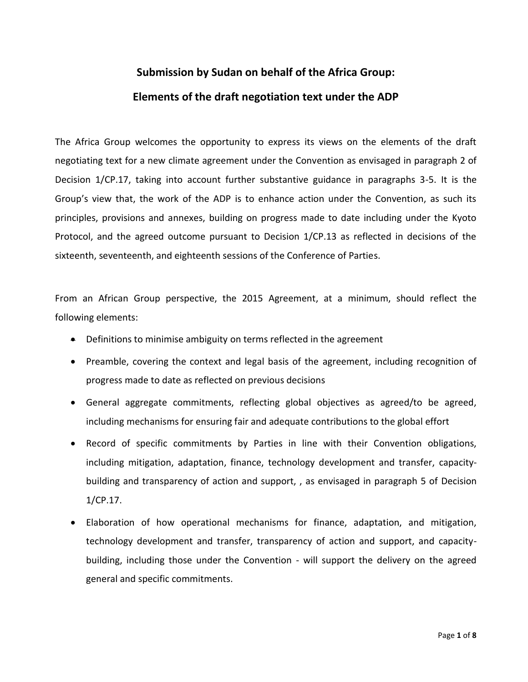# **Submission by Sudan on behalf of the Africa Group: Elements of the draft negotiation text under the ADP**

The Africa Group welcomes the opportunity to express its views on the elements of the draft negotiating text for a new climate agreement under the Convention as envisaged in paragraph 2 of Decision 1/CP.17, taking into account further substantive guidance in paragraphs 3-5. It is the Group's view that, the work of the ADP is to enhance action under the Convention, as such its principles, provisions and annexes, building on progress made to date including under the Kyoto Protocol, and the agreed outcome pursuant to Decision 1/CP.13 as reflected in decisions of the sixteenth, seventeenth, and eighteenth sessions of the Conference of Parties.

From an African Group perspective, the 2015 Agreement, at a minimum, should reflect the following elements:

- Definitions to minimise ambiguity on terms reflected in the agreement
- Preamble, covering the context and legal basis of the agreement, including recognition of progress made to date as reflected on previous decisions
- General aggregate commitments, reflecting global objectives as agreed/to be agreed, including mechanisms for ensuring fair and adequate contributions to the global effort
- Record of specific commitments by Parties in line with their Convention obligations, including mitigation, adaptation, finance, technology development and transfer, capacitybuilding and transparency of action and support, , as envisaged in paragraph 5 of Decision 1/CP.17.
- Elaboration of how operational mechanisms for finance, adaptation, and mitigation, technology development and transfer, transparency of action and support, and capacitybuilding, including those under the Convention - will support the delivery on the agreed general and specific commitments.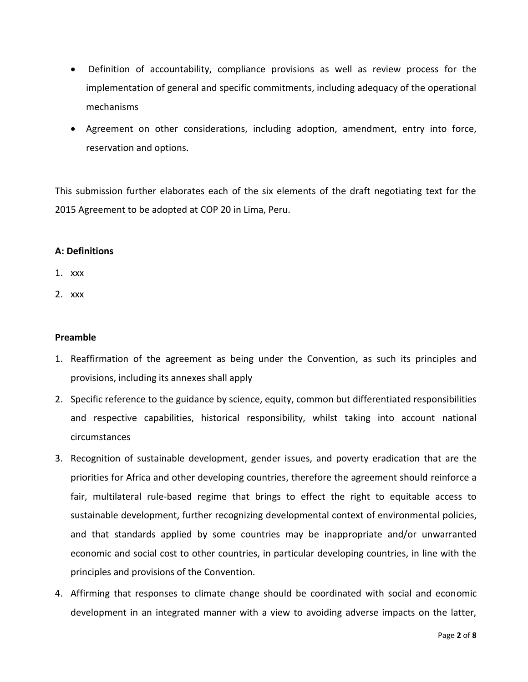- Definition of accountability, compliance provisions as well as review process for the implementation of general and specific commitments, including adequacy of the operational mechanisms
- Agreement on other considerations, including adoption, amendment, entry into force, reservation and options.

This submission further elaborates each of the six elements of the draft negotiating text for the 2015 Agreement to be adopted at COP 20 in Lima, Peru.

# **A: Definitions**

- 1. xxx
- 2. xxx

### **Preamble**

- 1. Reaffirmation of the agreement as being under the Convention, as such its principles and provisions, including its annexes shall apply
- 2. Specific reference to the guidance by science, equity, common but differentiated responsibilities and respective capabilities, historical responsibility, whilst taking into account national circumstances
- 3. Recognition of sustainable development, gender issues, and poverty eradication that are the priorities for Africa and other developing countries, therefore the agreement should reinforce a fair, multilateral rule-based regime that brings to effect the right to equitable access to sustainable development, further recognizing developmental context of environmental policies, and that standards applied by some countries may be inappropriate and/or unwarranted economic and social cost to other countries, in particular developing countries, in line with the principles and provisions of the Convention.
- 4. Affirming that responses to climate change should be coordinated with social and economic development in an integrated manner with a view to avoiding adverse impacts on the latter,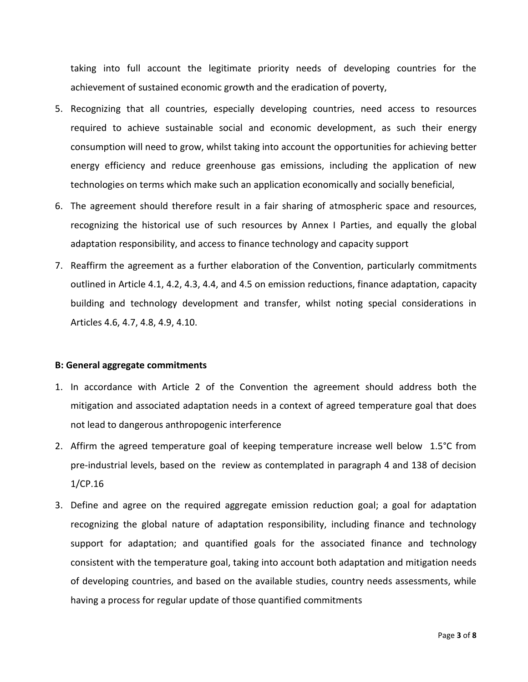taking into full account the legitimate priority needs of developing countries for the achievement of sustained economic growth and the eradication of poverty,

- 5. Recognizing that all countries, especially developing countries, need access to resources required to achieve sustainable social and economic development, as such their energy consumption will need to grow, whilst taking into account the opportunities for achieving better energy efficiency and reduce greenhouse gas emissions, including the application of new technologies on terms which make such an application economically and socially beneficial,
- 6. The agreement should therefore result in a fair sharing of atmospheric space and resources, recognizing the historical use of such resources by Annex I Parties, and equally the global adaptation responsibility, and access to finance technology and capacity support
- 7. Reaffirm the agreement as a further elaboration of the Convention, particularly commitments outlined in Article 4.1, 4.2, 4.3, 4.4, and 4.5 on emission reductions, finance adaptation, capacity building and technology development and transfer, whilst noting special considerations in Articles 4.6, 4.7, 4.8, 4.9, 4.10.

#### **B: General aggregate commitments**

- 1. In accordance with Article 2 of the Convention the agreement should address both the mitigation and associated adaptation needs in a context of agreed temperature goal that does not lead to dangerous anthropogenic interference
- 2. Affirm the agreed temperature goal of keeping temperature increase well below 1.5°C from pre-industrial levels, based on the review as contemplated in paragraph 4 and 138 of decision 1/CP.16
- 3. Define and agree on the required aggregate emission reduction goal; a goal for adaptation recognizing the global nature of adaptation responsibility, including finance and technology support for adaptation; and quantified goals for the associated finance and technology consistent with the temperature goal, taking into account both adaptation and mitigation needs of developing countries, and based on the available studies, country needs assessments, while having a process for regular update of those quantified commitments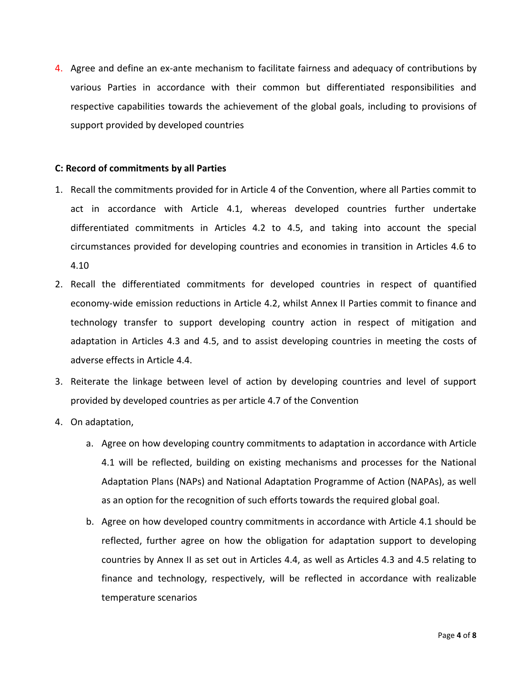4. Agree and define an ex-ante mechanism to facilitate fairness and adequacy of contributions by various Parties in accordance with their common but differentiated responsibilities and respective capabilities towards the achievement of the global goals, including to provisions of support provided by developed countries

### **C: Record of commitments by all Parties**

- 1. Recall the commitments provided for in Article 4 of the Convention, where all Parties commit to act in accordance with Article 4.1, whereas developed countries further undertake differentiated commitments in Articles 4.2 to 4.5, and taking into account the special circumstances provided for developing countries and economies in transition in Articles 4.6 to 4.10
- 2. Recall the differentiated commitments for developed countries in respect of quantified economy-wide emission reductions in Article 4.2, whilst Annex II Parties commit to finance and technology transfer to support developing country action in respect of mitigation and adaptation in Articles 4.3 and 4.5, and to assist developing countries in meeting the costs of adverse effects in Article 4.4.
- 3. Reiterate the linkage between level of action by developing countries and level of support provided by developed countries as per article 4.7 of the Convention
- 4. On adaptation,
	- a. Agree on how developing country commitments to adaptation in accordance with Article 4.1 will be reflected, building on existing mechanisms and processes for the National Adaptation Plans (NAPs) and National Adaptation Programme of Action (NAPAs), as well as an option for the recognition of such efforts towards the required global goal.
	- b. Agree on how developed country commitments in accordance with Article 4.1 should be reflected, further agree on how the obligation for adaptation support to developing countries by Annex II as set out in Articles 4.4, as well as Articles 4.3 and 4.5 relating to finance and technology, respectively, will be reflected in accordance with realizable temperature scenarios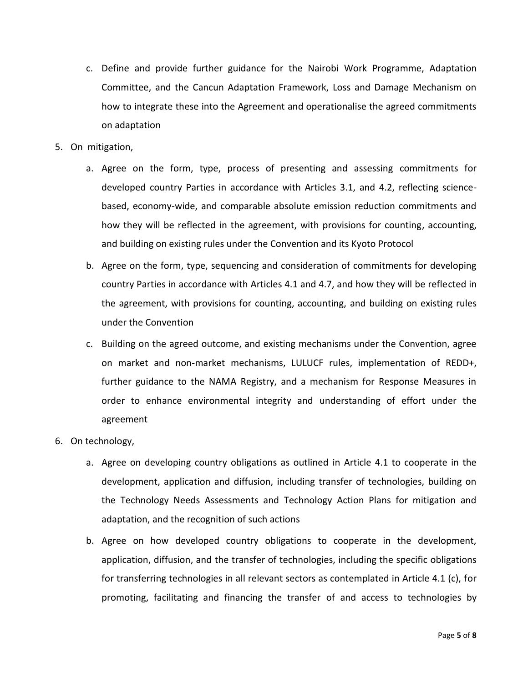- c. Define and provide further guidance for the Nairobi Work Programme, Adaptation Committee, and the Cancun Adaptation Framework, Loss and Damage Mechanism on how to integrate these into the Agreement and operationalise the agreed commitments on adaptation
- 5. On mitigation,
	- a. Agree on the form, type, process of presenting and assessing commitments for developed country Parties in accordance with Articles 3.1, and 4.2, reflecting sciencebased, economy-wide, and comparable absolute emission reduction commitments and how they will be reflected in the agreement, with provisions for counting, accounting, and building on existing rules under the Convention and its Kyoto Protocol
	- b. Agree on the form, type, sequencing and consideration of commitments for developing country Parties in accordance with Articles 4.1 and 4.7, and how they will be reflected in the agreement, with provisions for counting, accounting, and building on existing rules under the Convention
	- c. Building on the agreed outcome, and existing mechanisms under the Convention, agree on market and non-market mechanisms, LULUCF rules, implementation of REDD+, further guidance to the NAMA Registry, and a mechanism for Response Measures in order to enhance environmental integrity and understanding of effort under the agreement
- 6. On technology,
	- a. Agree on developing country obligations as outlined in Article 4.1 to cooperate in the development, application and diffusion, including transfer of technologies, building on the Technology Needs Assessments and Technology Action Plans for mitigation and adaptation, and the recognition of such actions
	- b. Agree on how developed country obligations to cooperate in the development, application, diffusion, and the transfer of technologies, including the specific obligations for transferring technologies in all relevant sectors as contemplated in Article 4.1 (c), for promoting, facilitating and financing the transfer of and access to technologies by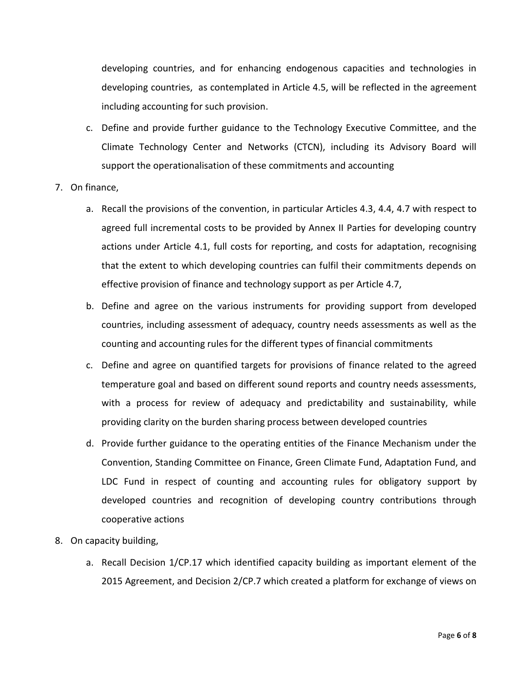developing countries, and for enhancing endogenous capacities and technologies in developing countries, as contemplated in Article 4.5, will be reflected in the agreement including accounting for such provision.

- c. Define and provide further guidance to the Technology Executive Committee, and the Climate Technology Center and Networks (CTCN), including its Advisory Board will support the operationalisation of these commitments and accounting
- 7. On finance,
	- a. Recall the provisions of the convention, in particular Articles 4.3, 4.4, 4.7 with respect to agreed full incremental costs to be provided by Annex II Parties for developing country actions under Article 4.1, full costs for reporting, and costs for adaptation, recognising that the extent to which developing countries can fulfil their commitments depends on effective provision of finance and technology support as per Article 4.7,
	- b. Define and agree on the various instruments for providing support from developed countries, including assessment of adequacy, country needs assessments as well as the counting and accounting rules for the different types of financial commitments
	- c. Define and agree on quantified targets for provisions of finance related to the agreed temperature goal and based on different sound reports and country needs assessments, with a process for review of adequacy and predictability and sustainability, while providing clarity on the burden sharing process between developed countries
	- d. Provide further guidance to the operating entities of the Finance Mechanism under the Convention, Standing Committee on Finance, Green Climate Fund, Adaptation Fund, and LDC Fund in respect of counting and accounting rules for obligatory support by developed countries and recognition of developing country contributions through cooperative actions
- 8. On capacity building,
	- a. Recall Decision 1/CP.17 which identified capacity building as important element of the 2015 Agreement, and Decision 2/CP.7 which created a platform for exchange of views on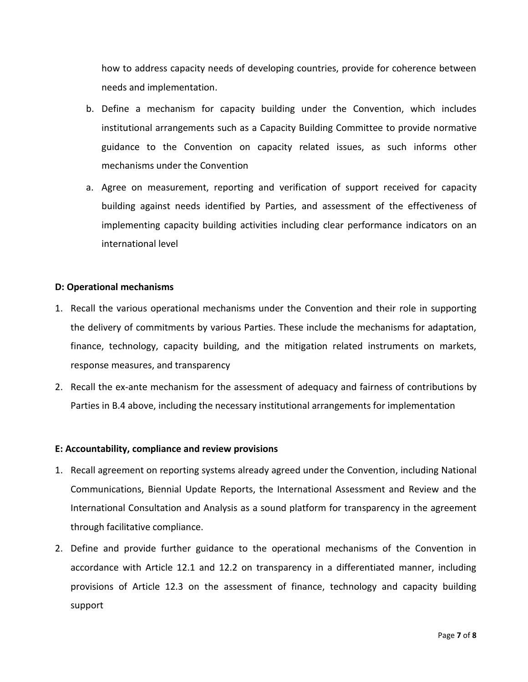how to address capacity needs of developing countries, provide for coherence between needs and implementation.

- b. Define a mechanism for capacity building under the Convention, which includes institutional arrangements such as a Capacity Building Committee to provide normative guidance to the Convention on capacity related issues, as such informs other mechanisms under the Convention
- a. Agree on measurement, reporting and verification of support received for capacity building against needs identified by Parties, and assessment of the effectiveness of implementing capacity building activities including clear performance indicators on an international level

### **D: Operational mechanisms**

- 1. Recall the various operational mechanisms under the Convention and their role in supporting the delivery of commitments by various Parties. These include the mechanisms for adaptation, finance, technology, capacity building, and the mitigation related instruments on markets, response measures, and transparency
- 2. Recall the ex-ante mechanism for the assessment of adequacy and fairness of contributions by Parties in B.4 above, including the necessary institutional arrangements for implementation

#### **E: Accountability, compliance and review provisions**

- 1. Recall agreement on reporting systems already agreed under the Convention, including National Communications, Biennial Update Reports, the International Assessment and Review and the International Consultation and Analysis as a sound platform for transparency in the agreement through facilitative compliance.
- 2. Define and provide further guidance to the operational mechanisms of the Convention in accordance with Article 12.1 and 12.2 on transparency in a differentiated manner, including provisions of Article 12.3 on the assessment of finance, technology and capacity building support